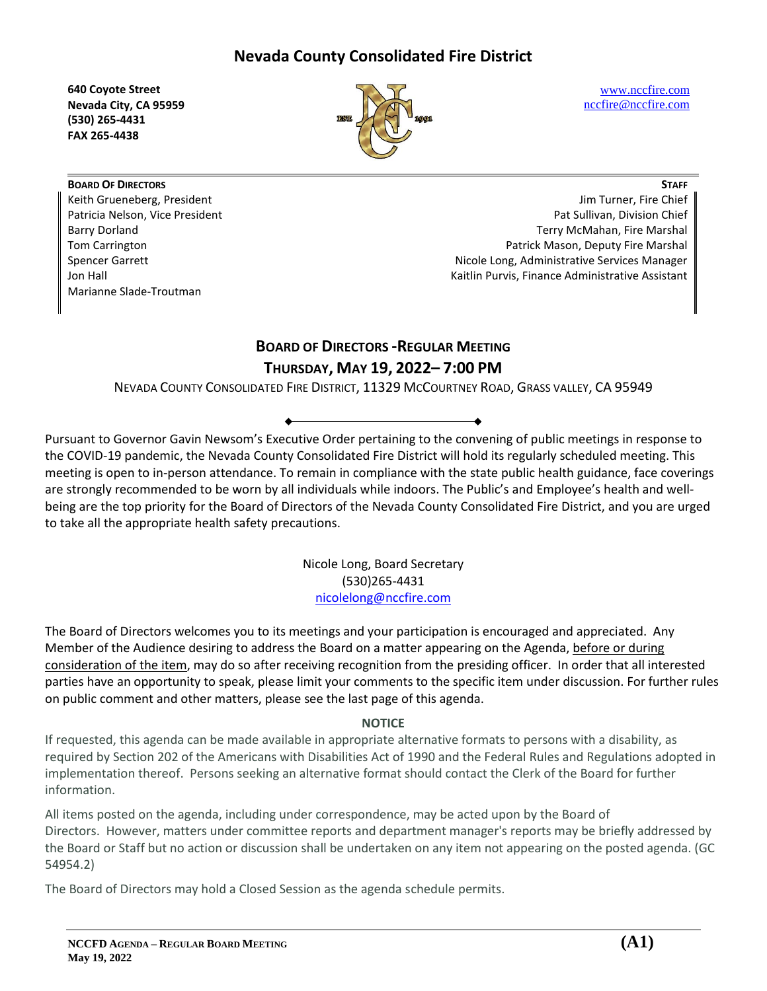**640 Coyote Street Nevada City, CA 95959 (530) 265-4431 FAX 265-4438**



[www.nccfire.com](http://www.nccfire.com/) [nccfire@nccfire.com](mailto:nccfire@nccfire.com)

**BOARD OF DIRECTORS** Keith Grueneberg, President Patricia Nelson, Vice President Barry Dorland Tom Carrington Spencer Garrett Jon Hall Marianne Slade-Troutman

**STAFF** Jim Turner, Fire Chief Pat Sullivan, Division Chief Terry McMahan, Fire Marshal Patrick Mason, Deputy Fire Marshal Nicole Long, Administrative Services Manager Kaitlin Purvis, Finance Administrative Assistant

# **BOARD OF DIRECTORS -REGULAR MEETING THURSDAY, MAY 19, 2022– 7:00 PM**

NEVADA COUNTY CONSOLIDATED FIRE DISTRICT, 11329 MCCOURTNEY ROAD, GRASS VALLEY, CA 95949

Pursuant to Governor Gavin Newsom's Executive Order pertaining to the convening of public meetings in response to the COVID-19 pandemic, the Nevada County Consolidated Fire District will hold its regularly scheduled meeting. This meeting is open to in-person attendance. To remain in compliance with the state public health guidance, face coverings are strongly recommended to be worn by all individuals while indoors. The Public's and Employee's health and wellbeing are the top priority for the Board of Directors of the Nevada County Consolidated Fire District, and you are urged to take all the appropriate health safety precautions.

> Nicole Long, Board Secretary (530)265-4431 [nicolelong@nccfire.com](mailto:nicolelong@nccfire.com)

The Board of Directors welcomes you to its meetings and your participation is encouraged and appreciated. Any Member of the Audience desiring to address the Board on a matter appearing on the Agenda, before or during consideration of the item, may do so after receiving recognition from the presiding officer. In order that all interested parties have an opportunity to speak, please limit your comments to the specific item under discussion. For further rules on public comment and other matters, please see the last page of this agenda.

## **NOTICE**

If requested, this agenda can be made available in appropriate alternative formats to persons with a disability, as required by Section 202 of the Americans with Disabilities Act of 1990 and the Federal Rules and Regulations adopted in implementation thereof. Persons seeking an alternative format should contact the Clerk of the Board for further information.

All items posted on the agenda, including under correspondence, may be acted upon by the Board of Directors. However, matters under committee reports and department manager's reports may be briefly addressed by the Board or Staff but no action or discussion shall be undertaken on any item not appearing on the posted agenda. (GC 54954.2)

The Board of Directors may hold a Closed Session as the agenda schedule permits.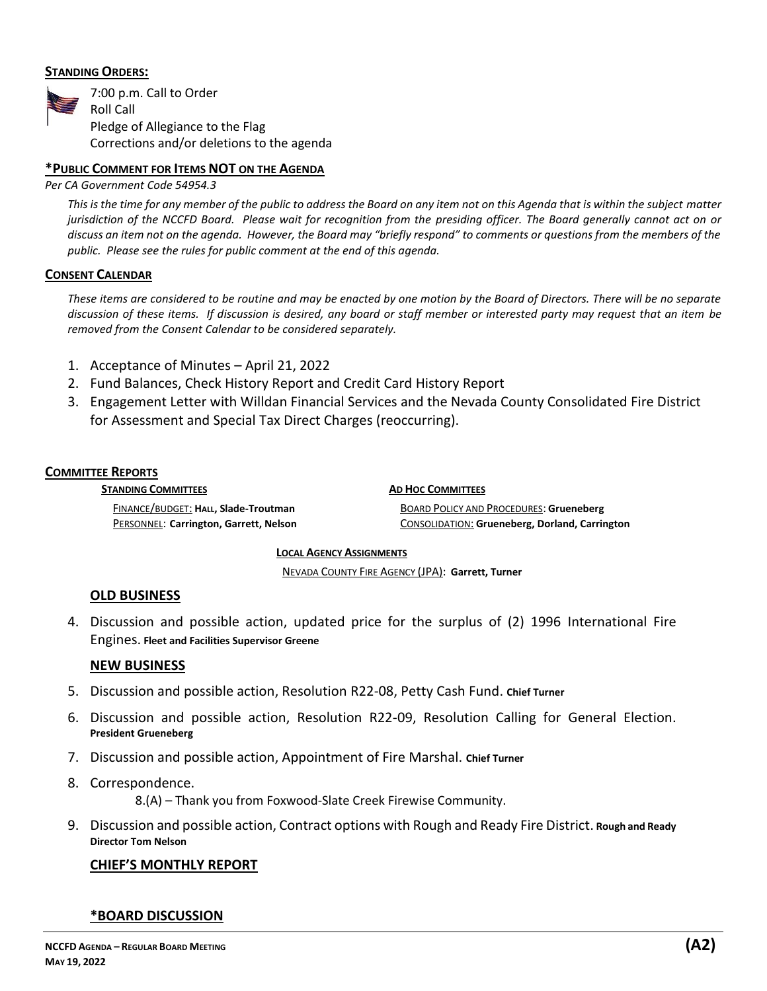#### **STANDING ORDERS:**



#### **\*PUBLIC COMMENT FOR ITEMS NOT ON THE AGENDA**

*Per CA Government Code 54954.3*

*This is the time for any member of the public to address the Board on any item not on this Agenda that is within the subject matter jurisdiction of the NCCFD Board. Please wait for recognition from the presiding officer. The Board generally cannot act on or discuss an item not on the agenda. However, the Board may "briefly respond" to comments or questions from the members of the public. Please see the rules for public comment at the end of this agenda.*

#### **CONSENT CALENDAR**

*These items are considered to be routine and may be enacted by one motion by the Board of Directors. There will be no separate discussion of these items. If discussion is desired, any board or staff member or interested party may request that an item be removed from the Consent Calendar to be considered separately.* 

- 1. Acceptance of Minutes April 21, 2022
- 2. Fund Balances, Check History Report and Credit Card History Report
- 3. Engagement Letter with Willdan Financial Services and the Nevada County Consolidated Fire District for Assessment and Special Tax Direct Charges (reoccurring).

#### **COMMITTEE REPORTS**

**STANDING COMMITTEES**

FINANCE/BUDGET: **HALL, Slade-Troutman**  PERSONNEL: **Carrington, Garrett, Nelson** **AD HOC COMMITTEES** BOARD POLICY AND PROCEDURES: **Grueneberg** CONSOLIDATION: **Grueneberg, Dorland, Carrington**

#### **LOCAL AGENCY ASSIGNMENTS**

NEVADA COUNTY FIRE AGENCY (JPA): **Garrett, Turner**

#### **OLD BUSINESS**

4. Discussion and possible action, updated price for the surplus of (2) 1996 International Fire Engines. **Fleet and Facilities Supervisor Greene**

#### **NEW BUSINESS**

- 5. Discussion and possible action, Resolution R22-08, Petty Cash Fund. **Chief Turner**
- 6. Discussion and possible action, Resolution R22-09, Resolution Calling for General Election. **President Grueneberg**
- 7. Discussion and possible action, Appointment of Fire Marshal. **Chief Turner**
- 8. Correspondence.

8.(A) – Thank you from Foxwood-Slate Creek Firewise Community.

9. Discussion and possible action, Contract options with Rough and Ready Fire District. **Rough and Ready Director Tom Nelson**

#### **CHIEF'S MONTHLY REPORT**

### **\*BOARD DISCUSSION**